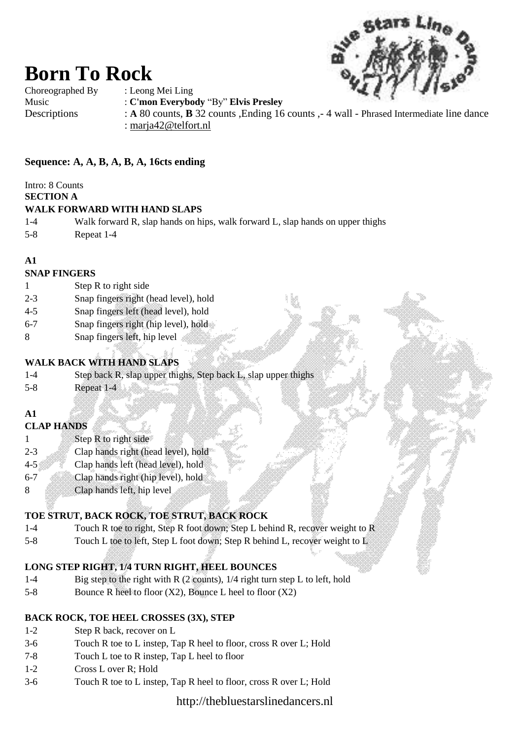

Choreographed By : Leong Mei Ling

**Born To Rock**

Music : **C'mon Everybody** "By" **Elvis Presley**

Descriptions : **A** 80 counts, **B** 32 counts , Ending 16 counts , 4 wall - Phrased Intermediate line dance : [marja42@telfort.nl](mailto:marja42@telfort.nl)

## **Sequence: A, A, B, A, B, A, 16cts ending**

Intro: 8 Counts

**SECTION A**

#### **WALK FORWARD WITH HAND SLAPS**

- 1-4 Walk forward R, slap hands on hips, walk forward L, slap hands on upper thighs
- 5-8 Repeat 1-4

## **A1**

## **SNAP FINGERS**

- 1 Step R to right side
- 2-3 Snap fingers right (head level), hold
- 4-5 Snap fingers left (head level), hold
- 6-7 Snap fingers right (hip level), hold
- 8 Snap fingers left, hip level

## **WALK BACK WITH HAND SLAPS**

- 1-4 Step back R, slap upper thighs, Step back L, slap upper thighs
- 5-8 Repeat 1-4

## **A1**

## **CLAP HANDS**

- 1 Step R to right side
- 2-3 Clap hands right (head level), hold
- 4-5 Clap hands left (head level), hold
- 6-7 Clap hands right (hip level), hold
- 8 Clap hands left, hip level

## **TOE STRUT, BACK ROCK, TOE STRUT, BACK ROCK**

- 1-4 Touch R toe to right, Step R foot down; Step L behind R, recover weight to R
- 5-8 Touch L toe to left, Step L foot down; Step R behind L, recover weight to L

## **LONG STEP RIGHT, 1/4 TURN RIGHT, HEEL BOUNCES**

- 1-4 Big step to the right with R (2 counts), 1/4 right turn step L to left, hold
- 5-8 Bounce R heel to floor  $(X2)$ , Bounce L heel to floor  $(X2)$

## **BACK ROCK, TOE HEEL CROSSES (3X), STEP**

- 1-2 Step R back, recover on L
- 3-6 Touch R toe to L instep, Tap R heel to floor, cross R over L; Hold
- 7-8 Touch L toe to R instep, Tap L heel to floor
- 1-2 Cross L over R; Hold
- 3-6 Touch R toe to L instep, Tap R heel to floor, cross R over L; Hold

http://thebluestarslinedancers.nl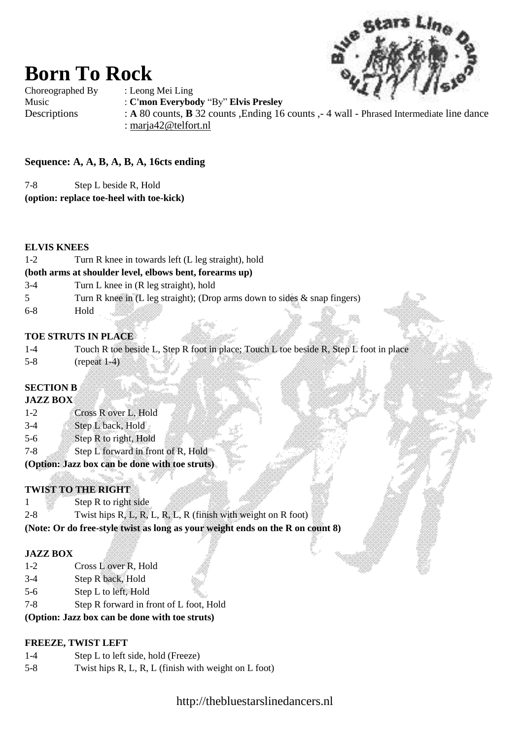

**Born To Rock** Choreographed By : Leong Mei Ling

Music : **C'mon Everybody** "By" **Elvis Presley** Descriptions : **A** 80 counts, **B** 32 counts , Ending 16 counts , 4 wall - Phrased Intermediate line dance : [marja42@telfort.nl](mailto:marja42@telfort.nl)

## **Sequence: A, A, B, A, B, A, 16cts ending**

7-8 Step L beside R, Hold

**(option: replace toe-heel with toe-kick)**

#### **ELVIS KNEES**

| $1 - 2$                                                 | Turn R knee in towards left (L leg straight), hold                        |  |  |  |  |  |  |  |
|---------------------------------------------------------|---------------------------------------------------------------------------|--|--|--|--|--|--|--|
| (both arms at shoulder level, elbows bent, forearms up) |                                                                           |  |  |  |  |  |  |  |
| $3-4$                                                   | Turn L knee in (R leg straight), hold                                     |  |  |  |  |  |  |  |
|                                                         | Turn R knee in (L leg straight); (Drop arms down to sides & snap fingers) |  |  |  |  |  |  |  |
| $6-8$                                                   | Hold                                                                      |  |  |  |  |  |  |  |
|                                                         | <b>TOE STRUTS IN PLACE</b>                                                |  |  |  |  |  |  |  |

|         | Touch R toe beside L, Step R foot in place; Touch L toe beside R, Step L foot in place. |  |  |  |
|---------|-----------------------------------------------------------------------------------------|--|--|--|
| $5 - 8$ | (reneat 1–4)                                                                            |  |  |  |

## **SECTION B**

#### **JAZZ BOX**

- 1-2 Cross R over L, Hold 3-4 Step L back, Hold
- 5-6 Step R to right, Hold
- 
- 7-8 Step L forward in front of R, Hold
- **(Option: Jazz box can be done with toe struts)**

## **TWIST TO THE RIGHT**

| $2 - 8$ | Twist hips $R, L, R, L, R, L, R$ (finish with weight on R foot)                |  | ₩ |
|---------|--------------------------------------------------------------------------------|--|---|
|         | (Note: Or do free-style twist as long as your weight ends on the R on count 8) |  |   |

#### **JAZZ BOX**

- 1-2 Cross L over R, Hold
- 3-4 Step R back, Hold
- 5-6 Step L to left, Hold
- 7-8 Step R forward in front of L foot, Hold

#### **(Option: Jazz box can be done with toe struts)**

## **FREEZE, TWIST LEFT**

- 1-4 Step L to left side, hold (Freeze)
- 5-8 Twist hips R, L, R, L (finish with weight on L foot)